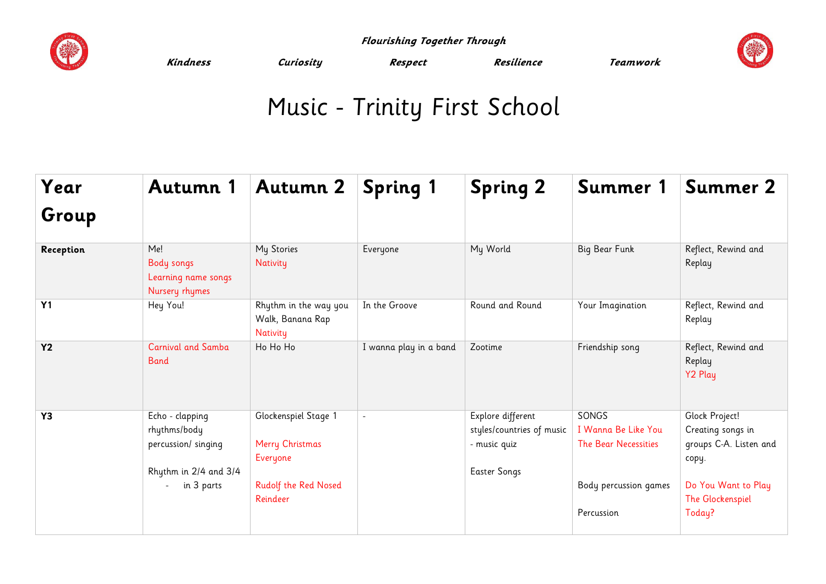

 **Flourishing Together Through** 



**Kindness Curiosity Respect Resilience Teamwork** 

## Music - Trinity First School

| Year      | Autumn 1                                                                                                | <b>Autumn 2</b>                                                                         | <b>Spring 1</b>        | <b>Spring 2</b>                                                                       | Summer 1                                                                                    | Summer 2                                                                                                                    |
|-----------|---------------------------------------------------------------------------------------------------------|-----------------------------------------------------------------------------------------|------------------------|---------------------------------------------------------------------------------------|---------------------------------------------------------------------------------------------|-----------------------------------------------------------------------------------------------------------------------------|
| Group     |                                                                                                         |                                                                                         |                        |                                                                                       |                                                                                             |                                                                                                                             |
| Reception | Me!<br><b>Body songs</b><br>Learning name songs<br>Nursery rhymes                                       | My Stories<br>Nativity                                                                  | Everyone               | My World                                                                              | Big Bear Funk                                                                               | Reflect, Rewind and<br>Replay                                                                                               |
| Y1        | Hey You!                                                                                                | Rhythm in the way you<br>Walk, Banana Rap<br>Nativity                                   | In the Groove          | Round and Round                                                                       | Your Imagination                                                                            | Reflect, Rewind and<br>Replay                                                                                               |
| <b>Y2</b> | <b>Carnival and Samba</b><br><b>Band</b>                                                                | Ho Ho Ho                                                                                | I wanna play in a band | Zootime                                                                               | Friendship song                                                                             | Reflect, Rewind and<br>Replay<br>Y2 Play                                                                                    |
| Y3        | Echo - clapping<br>rhythms/body<br>percussion/ singing<br>Rhythm in 2/4 and 3/4<br>in 3 parts<br>$\sim$ | Glockenspiel Stage 1<br>Merry Christmas<br>Everyone<br>Rudolf the Red Nosed<br>Reindeer | $\blacksquare$         | Explore different<br>styles/countries of music<br>- music quiz<br><b>Easter Songs</b> | SONGS<br>I Wanna Be Like You<br>The Bear Necessities<br>Body percussion games<br>Percussion | Glock Project!<br>Creating songs in<br>groups C-A. Listen and<br>copy.<br>Do You Want to Play<br>The Glockenspiel<br>Today? |